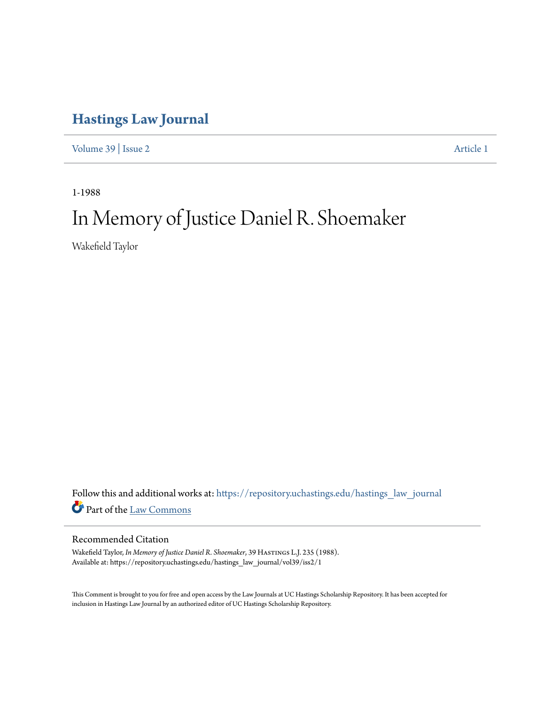## **[Hastings Law Journal](https://repository.uchastings.edu/hastings_law_journal?utm_source=repository.uchastings.edu%2Fhastings_law_journal%2Fvol39%2Fiss2%2F1&utm_medium=PDF&utm_campaign=PDFCoverPages)**

[Volume 39](https://repository.uchastings.edu/hastings_law_journal/vol39?utm_source=repository.uchastings.edu%2Fhastings_law_journal%2Fvol39%2Fiss2%2F1&utm_medium=PDF&utm_campaign=PDFCoverPages) | [Issue 2](https://repository.uchastings.edu/hastings_law_journal/vol39/iss2?utm_source=repository.uchastings.edu%2Fhastings_law_journal%2Fvol39%2Fiss2%2F1&utm_medium=PDF&utm_campaign=PDFCoverPages) [Article 1](https://repository.uchastings.edu/hastings_law_journal/vol39/iss2/1?utm_source=repository.uchastings.edu%2Fhastings_law_journal%2Fvol39%2Fiss2%2F1&utm_medium=PDF&utm_campaign=PDFCoverPages)

1-1988

## In Memory of Justice Daniel R. Shoemaker

Wakefield Taylor

Follow this and additional works at: [https://repository.uchastings.edu/hastings\\_law\\_journal](https://repository.uchastings.edu/hastings_law_journal?utm_source=repository.uchastings.edu%2Fhastings_law_journal%2Fvol39%2Fiss2%2F1&utm_medium=PDF&utm_campaign=PDFCoverPages) Part of the [Law Commons](http://network.bepress.com/hgg/discipline/578?utm_source=repository.uchastings.edu%2Fhastings_law_journal%2Fvol39%2Fiss2%2F1&utm_medium=PDF&utm_campaign=PDFCoverPages)

## Recommended Citation

Wakefield Taylor, *In Memory of Justice Daniel R. Shoemaker*, 39 HASTINGS L.J. 235 (1988). Available at: https://repository.uchastings.edu/hastings\_law\_journal/vol39/iss2/1

This Comment is brought to you for free and open access by the Law Journals at UC Hastings Scholarship Repository. It has been accepted for inclusion in Hastings Law Journal by an authorized editor of UC Hastings Scholarship Repository.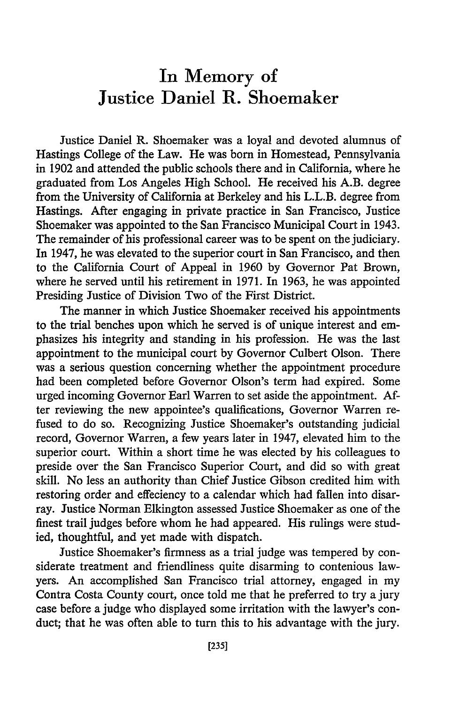## In Memory of Justice Daniel R. Shoemaker

Justice Daniel R. Shoemaker was a loyal and devoted alumnus of Hastings College of the Law. He was born in Homestead, Pennsylvania in 1902 and attended the public schools there and in California, where he graduated from Los Angeles High School. He received his A.B. degree from the University of California at Berkeley and his L.L.B. degree from Hastings. After engaging in private practice in San Francisco, Justice Shoemaker was appointed to the San Francisco Municipal Court in 1943. The remainder of his professional career was to be spent on the judiciary. In 1947, he was elevated to the superior court in San Francisco, and then to the California Court of Appeal in 1960 by Governor Pat Brown, where he served until his retirement in 1971. In 1963, he was appointed Presiding Justice of Division Two of the First District.

The manner in which Justice Shoemaker received his appointments to the trial benches upon which he served is of unique interest and emphasizes his integrity and standing in his profession. He was the last appointment to the municipal court by Governor Culbert Olson. There was a serious question concerning whether the appointment procedure had been completed before Governor Olson's term had expired. Some urged incoming Governor Earl Warren to set aside the appointment. After reviewing the new appointee's qualifications, Governor Warren refused to do so. Recognizing Justice Shoemaker's outstanding judicial record, Governor Warren, a few years later in 1947, elevated him to the superior court. Within a short time he was elected by his colleagues to preside over the San Francisco Superior Court, and did so with great skill. No less an authority than Chief Justice Gibson credited him with restoring order and effeciency to a calendar which had fallen into disarray. Justice Norman Elkington assessed Justice Shoemaker as one of the finest trail judges before whom he had appeared. His rulings were studied, thoughtful, and yet made with dispatch.

Justice Shoemaker's firmness as a trial judge was tempered by considerate treatment and friendliness quite disarming to contenious lawyers. An accomplished San Francisco trial attorney, engaged in my Contra Costa County court, once told me that he preferred to try a jury case before a judge who displayed some irritation with the lawyer's conduct; that he was often able to turn this to his advantage with the jury.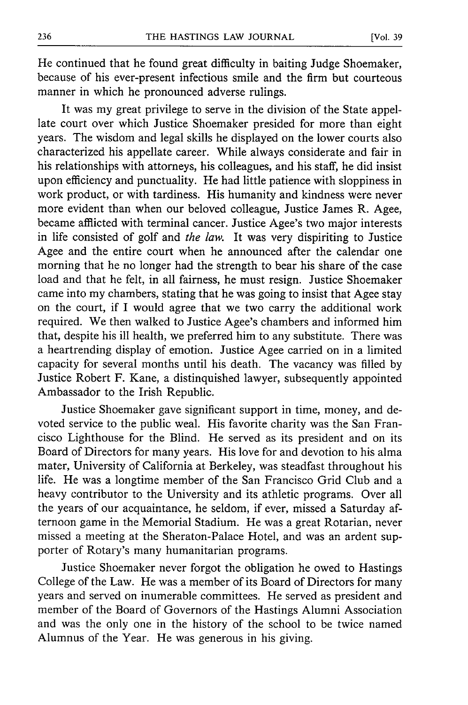He continued that he found great difficulty in baiting Judge Shoemaker, because of his ever-present infectious smile and the firm but courteous manner in which he pronounced adverse rulings.

It was my great privilege to serve in the division of the State appellate court over which Justice Shoemaker presided for more than eight years. The wisdom and legal skills he displayed on the lower courts also characterized his appellate career. While always considerate and fair in his relationships with attorneys, his colleagues, and his staff, he did insist upon efficiency and punctuality. He had little patience with sloppiness in work product, or with tardiness. His humanity and kindness were never more evident than when our beloved colleague, Justice James R. Agee, became afflicted with terminal cancer. Justice Agee's two major interests in life consisted of golf and *the law.* It was very dispiriting to Justice Agee and the entire court when he announced after the calendar one morning that he no longer had the strength to bear his share of the case load and that he felt, in all fairness, he must resign. Justice Shoemaker came into my chambers, stating that he was going to insist that Agee stay on the court, if I would agree that we two carry the additional work required. We then walked to Justice Agee's chambers and informed him that, despite his ill health, we preferred him to any substitute. There was a heartrending display of emotion. Justice Agee carried on in a limited capacity for several months until his death. The vacancy was filled by Justice Robert F. Kane, a distinquished lawyer, subsequently appointed Ambassador to the Irish Republic.

Justice Shoemaker gave significant support in time, money, and devoted service to the public weal. His favorite charity was the San Francisco Lighthouse for the Blind. He served as its president and on its Board of Directors for many years. His love for and devotion to his alma mater, University of California at Berkeley, was steadfast throughout his life. He was a longtime member of the San Francisco Grid Club and a heavy contributor to the University and its athletic programs. Over all the years of our acquaintance, he seldom, if ever, missed a Saturday afternoon game in the Memorial Stadium. He was a great Rotarian, never missed a meeting at the Sheraton-Palace Hotel, and was an ardent supporter of Rotary's many humanitarian programs.

Justice Shoemaker never forgot the obligation he owed to Hastings College of the Law. He was a member of its Board of Directors for many years and served on inumerable committees. He served as president and member of the Board of Governors of the Hastings Alumni Association and was the only one in the history of the school to be twice named Alumnus of the Year. He was generous in his giving.